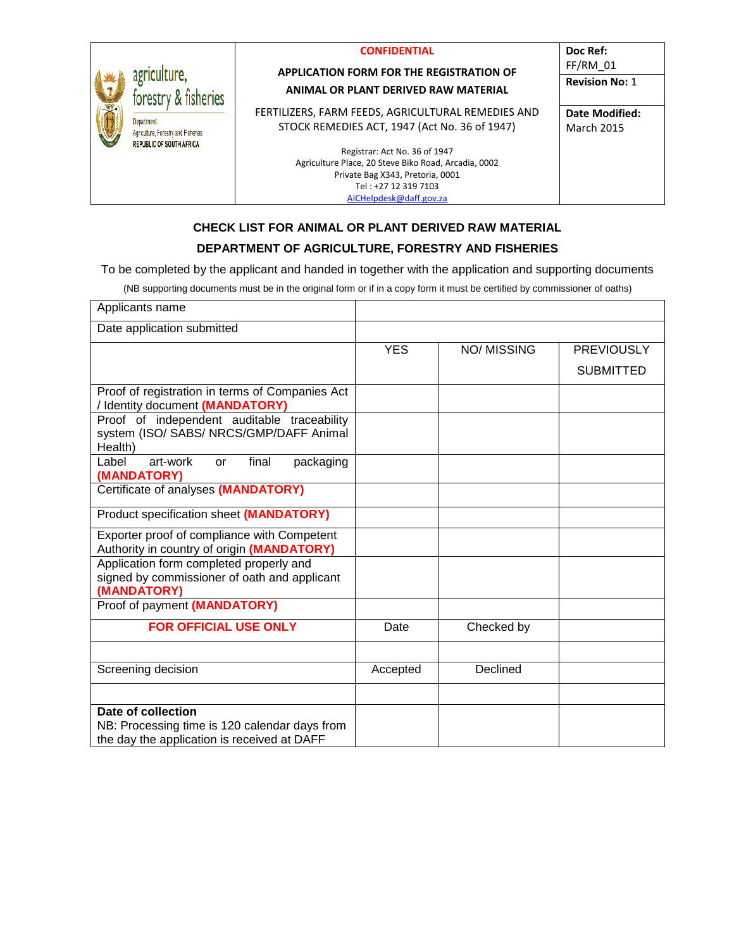|                                      |                                                                                             | <b>CONFIDENTIAL</b>                                  | Doc Ref:              |
|--------------------------------------|---------------------------------------------------------------------------------------------|------------------------------------------------------|-----------------------|
|                                      |                                                                                             | <b>APPLICATION FORM FOR THE REGISTRATION OF</b>      | $FF/RM$ 01            |
| agriculture,<br>forestry & fisheries | <b>ANIMAL OR PLANT DERIVED RAW MATERIAL</b>                                                 | <b>Revision No: 1</b>                                |                       |
|                                      |                                                                                             | FERTILIZERS, FARM FEEDS, AGRICULTURAL REMEDIES AND   | <b>Date Modified:</b> |
|                                      | <b>Department</b><br>Agriculture, Forestry and Fisheries<br><b>REPUBLIC OF SOUTH AFRICA</b> | STOCK REMEDIES ACT, 1947 (Act No. 36 of 1947)        | <b>March 2015</b>     |
|                                      |                                                                                             | Registrar: Act No. 36 of 1947                        |                       |
|                                      |                                                                                             | Agriculture Place, 20 Steve Biko Road, Arcadia, 0002 |                       |
|                                      |                                                                                             | Private Bag X343, Pretoria, 0001                     |                       |
|                                      |                                                                                             | Tel: +27 12 319 7103                                 |                       |
|                                      |                                                                                             | AICHelpdesk@daff.gov.za                              |                       |

## **CHECK LIST FOR ANIMAL OR PLANT DERIVED RAW MATERIAL**

## **DEPARTMENT OF AGRICULTURE, FORESTRY AND FISHERIES**

To be completed by the applicant and handed in together with the application and supporting documents

(NB supporting documents must be in the original form or if in a copy form it must be certified by commissioner of oaths)

| Applicants name                                                                                                    |            |                   |                   |
|--------------------------------------------------------------------------------------------------------------------|------------|-------------------|-------------------|
| Date application submitted                                                                                         |            |                   |                   |
|                                                                                                                    | <b>YES</b> | <b>NO/MISSING</b> | <b>PREVIOUSLY</b> |
|                                                                                                                    |            |                   | <b>SUBMITTED</b>  |
| Proof of registration in terms of Companies Act<br>/ Identity document (MANDATORY)                                 |            |                   |                   |
| Proof of independent auditable traceability<br>system (ISO/ SABS/ NRCS/GMP/DAFF Animal<br>Health)                  |            |                   |                   |
| art-work<br>final<br>Label<br>packaging<br>or<br>(MANDATORY)                                                       |            |                   |                   |
| Certificate of analyses (MANDATORY)                                                                                |            |                   |                   |
| Product specification sheet (MANDATORY)                                                                            |            |                   |                   |
| Exporter proof of compliance with Competent<br>Authority in country of origin (MANDATORY)                          |            |                   |                   |
| Application form completed properly and<br>signed by commissioner of oath and applicant<br>(MANDATORY)             |            |                   |                   |
| Proof of payment (MANDATORY)                                                                                       |            |                   |                   |
| <b>FOR OFFICIAL USE ONLY</b>                                                                                       | Date       | Checked by        |                   |
|                                                                                                                    |            |                   |                   |
| Screening decision                                                                                                 | Accepted   | Declined          |                   |
|                                                                                                                    |            |                   |                   |
| Date of collection<br>NB: Processing time is 120 calendar days from<br>the day the application is received at DAFF |            |                   |                   |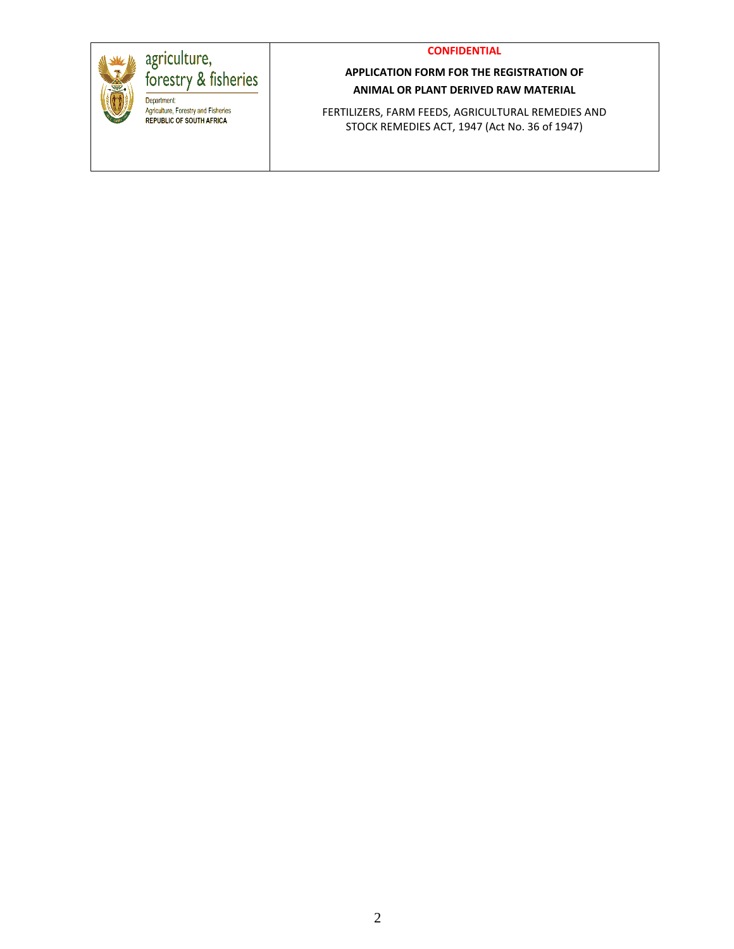



agriculture,<br>forestry & fisheries **Community**<br>
Department:<br>
Agriculture, Forestry and Fisheries<br>
REPUBLIC OF SOUTH AFRICA

## **APPLICATION FORM FOR THE REGISTRATION OF ANIMAL OR PLANT DERIVED RAW MATERIAL**

FERTILIZERS, FARM FEEDS, AGRICULTURAL REMEDIES AND STOCK REMEDIES ACT, 1947 (Act No. 36 of 1947)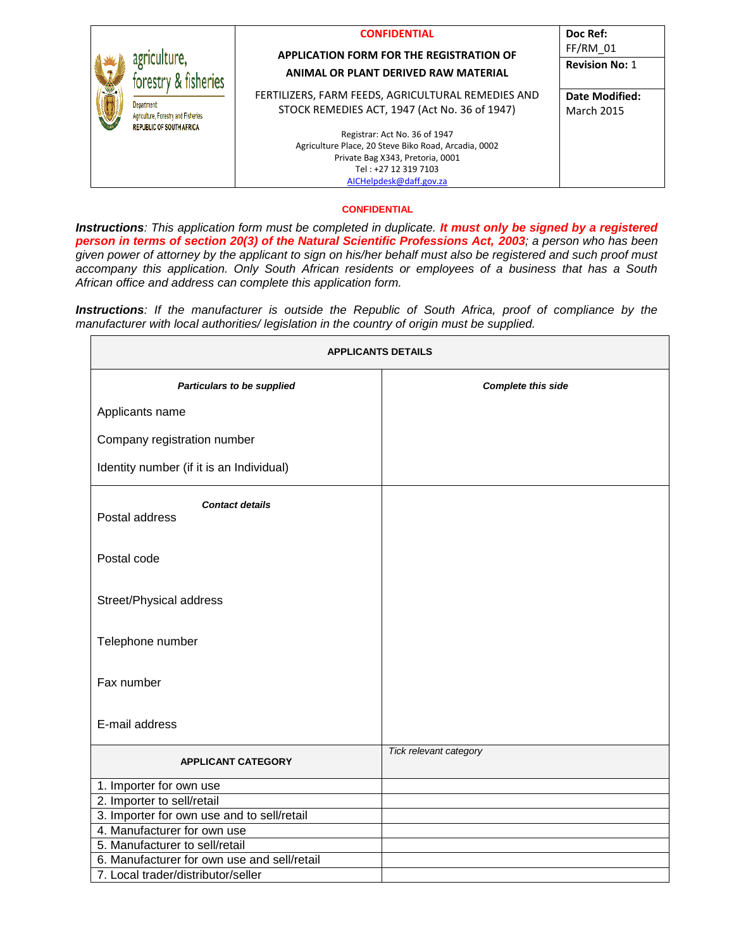|  | <b>CONFIDENTIAL</b> |  |  |  |  |
|--|---------------------|--|--|--|--|
|  |                     |  |  |  |  |

#### **APPLICATION FORM FOR THE REGISTRATION OF ANIMAL OR PLANT DERIVED RAW MATERIAL**

agriculture,

Department

forestry & fisheries

Agriculture, Forestry and Fisheries REPUBLIC OF SOUTH AFRICA

FERTILIZERS, FARM FEEDS, AGRICULTURAL REMEDIES AND STOCK REMEDIES ACT, 1947 (Act No. 36 of 1947)

> Registrar: Act No. 36 of 1947 Agriculture Place, 20 Steve Biko Road, Arcadia, 0002 Private Bag X343, Pretoria, 0001 Tel : +27 12 319 7103 [AICHelpdesk@daff.gov.za](mailto:AICHelpdesk@daff.gov.za)

**Revision No:** 1 **Date Modified:** March 2015

**Doc Ref:**  FF/RM\_01

#### **CONFIDENTIAL**

*Instructions: This application form must be completed in duplicate. It must only be signed by a registered person in terms of section 20(3) of the Natural Scientific Professions Act, 2003; a person who has been given power of attorney by the applicant to sign on his/her behalf must also be registered and such proof must accompany this application. Only South African residents or employees of a business that has a South African office and address can complete this application form.* 

*Instructions: If the manufacturer is outside the Republic of South Africa, proof of compliance by the manufacturer with local authorities/ legislation in the country of origin must be supplied.*

|                                             | <b>APPLICANTS DETAILS</b> |  |  |  |  |  |
|---------------------------------------------|---------------------------|--|--|--|--|--|
| <b>Particulars to be supplied</b>           | <b>Complete this side</b> |  |  |  |  |  |
| Applicants name                             |                           |  |  |  |  |  |
| Company registration number                 |                           |  |  |  |  |  |
| Identity number (if it is an Individual)    |                           |  |  |  |  |  |
| <b>Contact details</b><br>Postal address    |                           |  |  |  |  |  |
| Postal code                                 |                           |  |  |  |  |  |
| Street/Physical address                     |                           |  |  |  |  |  |
| Telephone number                            |                           |  |  |  |  |  |
| Fax number                                  |                           |  |  |  |  |  |
| E-mail address                              |                           |  |  |  |  |  |
| <b>APPLICANT CATEGORY</b>                   | Tick relevant category    |  |  |  |  |  |
| 1. Importer for own use                     |                           |  |  |  |  |  |
| 2. Importer to sell/retail                  |                           |  |  |  |  |  |
| 3. Importer for own use and to sell/retail  |                           |  |  |  |  |  |
| 4. Manufacturer for own use                 |                           |  |  |  |  |  |
| 5. Manufacturer to sell/retail              |                           |  |  |  |  |  |
| 6. Manufacturer for own use and sell/retail |                           |  |  |  |  |  |
| 7. Local trader/distributor/seller          |                           |  |  |  |  |  |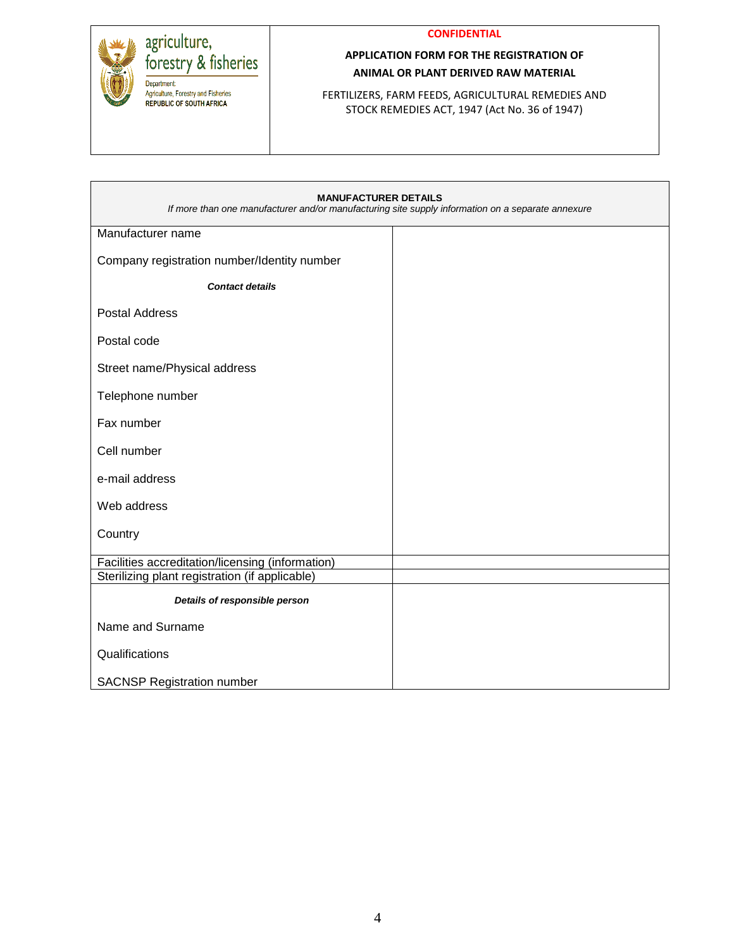

#### **CONFIDENTIAL**

## **APPLICATION FORM FOR THE REGISTRATION OF ANIMAL OR PLANT DERIVED RAW MATERIAL**

FERTILIZERS, FARM FEEDS, AGRICULTURAL REMEDIES AND STOCK REMEDIES ACT, 1947 (Act No. 36 of 1947)

| <b>MANUFACTURER DETAILS</b><br>If more than one manufacturer and/or manufacturing site supply information on a separate annexure |  |  |  |  |  |  |
|----------------------------------------------------------------------------------------------------------------------------------|--|--|--|--|--|--|
| Manufacturer name                                                                                                                |  |  |  |  |  |  |
| Company registration number/Identity number                                                                                      |  |  |  |  |  |  |
| <b>Contact details</b>                                                                                                           |  |  |  |  |  |  |
| <b>Postal Address</b>                                                                                                            |  |  |  |  |  |  |
| Postal code                                                                                                                      |  |  |  |  |  |  |
| Street name/Physical address                                                                                                     |  |  |  |  |  |  |
| Telephone number                                                                                                                 |  |  |  |  |  |  |
| Fax number                                                                                                                       |  |  |  |  |  |  |
| Cell number                                                                                                                      |  |  |  |  |  |  |
| e-mail address                                                                                                                   |  |  |  |  |  |  |
| Web address                                                                                                                      |  |  |  |  |  |  |
| Country                                                                                                                          |  |  |  |  |  |  |
| Facilities accreditation/licensing (information)                                                                                 |  |  |  |  |  |  |
| Sterilizing plant registration (if applicable)                                                                                   |  |  |  |  |  |  |
| Details of responsible person                                                                                                    |  |  |  |  |  |  |
| Name and Surname                                                                                                                 |  |  |  |  |  |  |
| Qualifications                                                                                                                   |  |  |  |  |  |  |
| <b>SACNSP Registration number</b>                                                                                                |  |  |  |  |  |  |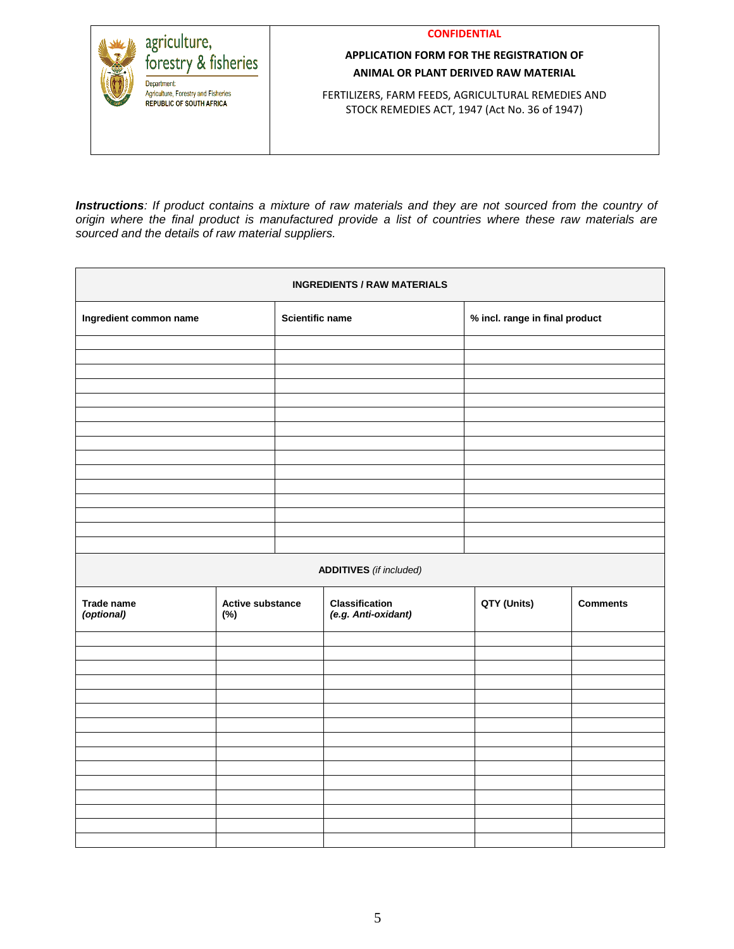**CONFIDENTIAL**



## **APPLICATION FORM FOR THE REGISTRATION OF ANIMAL OR PLANT DERIVED RAW MATERIAL**

FERTILIZERS, FARM FEEDS, AGRICULTURAL REMEDIES AND STOCK REMEDIES ACT, 1947 (Act No. 36 of 1947)

*Instructions: If product contains a mixture of raw materials and they are not sourced from the country of origin where the final product is manufactured provide a list of countries where these raw materials are sourced and the details of raw material suppliers.*

| <b>INGREDIENTS / RAW MATERIALS</b> |                         |                 |                                       |             |                                |  |  |
|------------------------------------|-------------------------|-----------------|---------------------------------------|-------------|--------------------------------|--|--|
| Ingredient common name             |                         | Scientific name |                                       |             | % incl. range in final product |  |  |
|                                    |                         |                 |                                       |             |                                |  |  |
|                                    |                         |                 |                                       |             |                                |  |  |
|                                    |                         |                 |                                       |             |                                |  |  |
|                                    |                         |                 |                                       |             |                                |  |  |
|                                    |                         |                 |                                       |             |                                |  |  |
|                                    |                         |                 |                                       |             |                                |  |  |
|                                    |                         |                 |                                       |             |                                |  |  |
|                                    |                         |                 |                                       |             |                                |  |  |
|                                    |                         |                 |                                       |             |                                |  |  |
|                                    |                         |                 |                                       |             |                                |  |  |
|                                    |                         |                 |                                       |             |                                |  |  |
|                                    |                         |                 |                                       |             |                                |  |  |
|                                    |                         |                 | <b>ADDITIVES</b> (if included)        |             |                                |  |  |
| Trade name<br>(optional)           | Active substance<br>(%) |                 | Classification<br>(e.g. Anti-oxidant) | QTY (Units) | <b>Comments</b>                |  |  |
|                                    |                         |                 |                                       |             |                                |  |  |
|                                    |                         |                 |                                       |             |                                |  |  |
|                                    |                         |                 |                                       |             |                                |  |  |
|                                    |                         |                 |                                       |             |                                |  |  |
|                                    |                         |                 |                                       |             |                                |  |  |
|                                    |                         |                 |                                       |             |                                |  |  |
|                                    |                         |                 |                                       |             |                                |  |  |
|                                    |                         |                 |                                       |             |                                |  |  |
|                                    |                         |                 |                                       |             |                                |  |  |
|                                    |                         |                 |                                       |             |                                |  |  |
|                                    |                         |                 |                                       |             |                                |  |  |
|                                    |                         |                 |                                       |             |                                |  |  |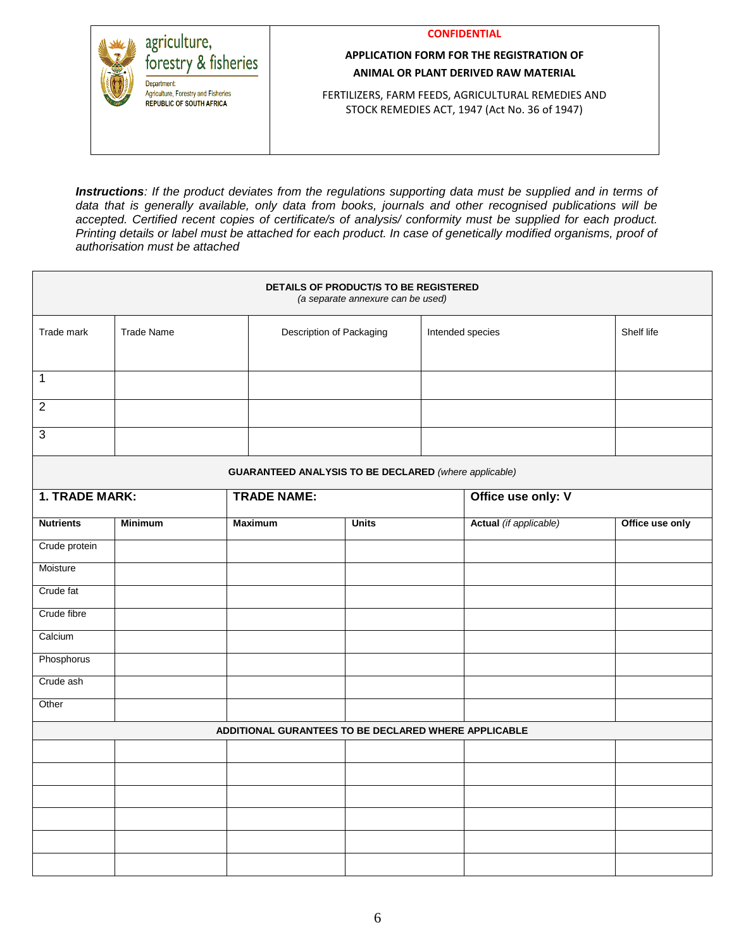**CONFIDENTIAL**



## **APPLICATION FORM FOR THE REGISTRATION OF ANIMAL OR PLANT DERIVED RAW MATERIAL**

FERTILIZERS, FARM FEEDS, AGRICULTURAL REMEDIES AND STOCK REMEDIES ACT, 1947 (Act No. 36 of 1947)

*Instructions: If the product deviates from the regulations supporting data must be supplied and in terms of data that is generally available, only data from books, journals and other recognised publications will be accepted. Certified recent copies of certificate/s of analysis/ conformity must be supplied for each product. Printing details or label must be attached for each product. In case of genetically modified organisms, proof of authorisation must be attached*

| DETAILS OF PRODUCT/S TO BE REGISTERED<br>(a separate annexure can be used) |                   |                |                          |                                                              |  |                        |                 |
|----------------------------------------------------------------------------|-------------------|----------------|--------------------------|--------------------------------------------------------------|--|------------------------|-----------------|
| Trade mark                                                                 | <b>Trade Name</b> |                | Description of Packaging |                                                              |  | Intended species       | Shelf life      |
| $\mathbf{1}$                                                               |                   |                |                          |                                                              |  |                        |                 |
| $\overline{2}$                                                             |                   |                |                          |                                                              |  |                        |                 |
| $\mathfrak{S}$                                                             |                   |                |                          |                                                              |  |                        |                 |
|                                                                            |                   |                |                          | <b>GUARANTEED ANALYSIS TO BE DECLARED</b> (where applicable) |  |                        |                 |
| <b>1. TRADE MARK:</b>                                                      |                   |                | <b>TRADE NAME:</b>       |                                                              |  | Office use only: V     |                 |
| <b>Nutrients</b>                                                           | <b>Minimum</b>    | <b>Maximum</b> |                          | <b>Units</b>                                                 |  | Actual (if applicable) | Office use only |
| Crude protein                                                              |                   |                |                          |                                                              |  |                        |                 |
| Moisture                                                                   |                   |                |                          |                                                              |  |                        |                 |
| Crude fat                                                                  |                   |                |                          |                                                              |  |                        |                 |
| Crude fibre                                                                |                   |                |                          |                                                              |  |                        |                 |
| Calcium                                                                    |                   |                |                          |                                                              |  |                        |                 |
| Phosphorus                                                                 |                   |                |                          |                                                              |  |                        |                 |
| Crude ash                                                                  |                   |                |                          |                                                              |  |                        |                 |
| Other                                                                      |                   |                |                          |                                                              |  |                        |                 |
|                                                                            |                   |                |                          | ADDITIONAL GURANTEES TO BE DECLARED WHERE APPLICABLE         |  |                        |                 |
|                                                                            |                   |                |                          |                                                              |  |                        |                 |
|                                                                            |                   |                |                          |                                                              |  |                        |                 |
|                                                                            |                   |                |                          |                                                              |  |                        |                 |
|                                                                            |                   |                |                          |                                                              |  |                        |                 |
|                                                                            |                   |                |                          |                                                              |  |                        |                 |
|                                                                            |                   |                |                          |                                                              |  |                        |                 |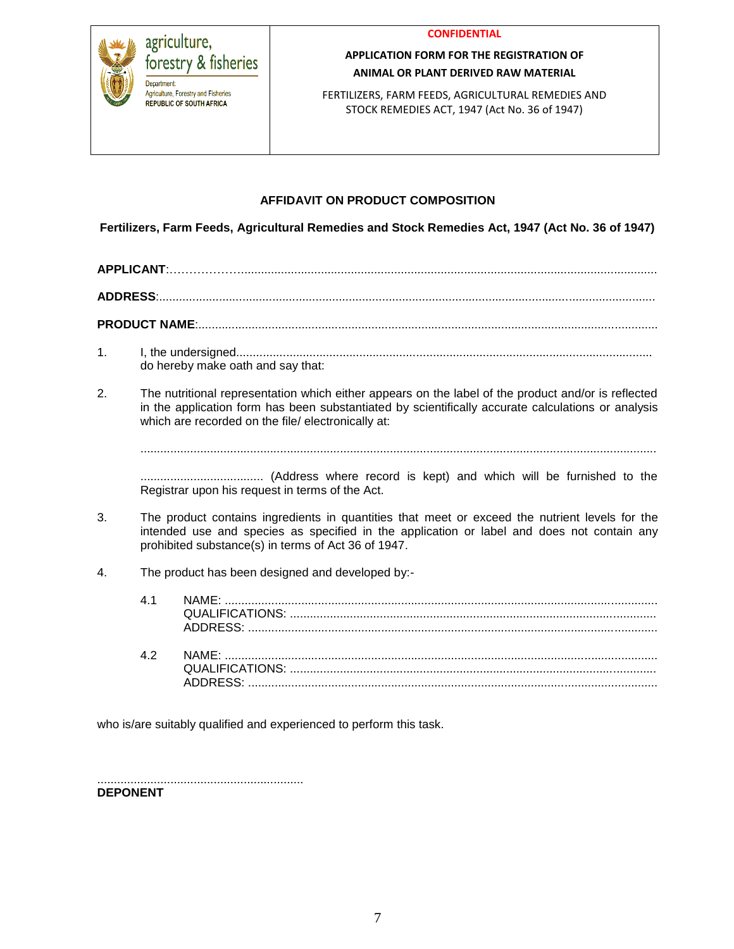



# **APPLICATION FORM FOR THE REGISTRATION OF ANIMAL OR PLANT DERIVED RAW MATERIAL**

FERTILIZERS, FARM FEEDS, AGRICULTURAL REMEDIES AND STOCK REMEDIES ACT, 1947 (Act No. 36 of 1947)

# **AFFIDAVIT ON PRODUCT COMPOSITION**

**Fertilizers, Farm Feeds, Agricultural Remedies and Stock Remedies Act, 1947 (Act No. 36 of 1947)**

**APPLICANT**:……………….............................................................................................................................

**ADDRESS**:.....................................................................................................................................................

**PRODUCT NAME**:..........................................................................................................................................

- 1. I, the undersigned............................................................................................................................. do hereby make oath and say that:
- 2. The nutritional representation which either appears on the label of the product and/or is reflected in the application form has been substantiated by scientifically accurate calculations or analysis which are recorded on the file/ electronically at:

...........................................................................................................................................................

..................................... (Address where record is kept) and which will be furnished to the Registrar upon his request in terms of the Act.

- 3. The product contains ingredients in quantities that meet or exceed the nutrient levels for the intended use and species as specified in the application or label and does not contain any prohibited substance(s) in terms of Act 36 of 1947.
- 4. The product has been designed and developed by:-

| 41 |  |
|----|--|
| 42 |  |

who is/are suitably qualified and experienced to perform this task.

..............................................................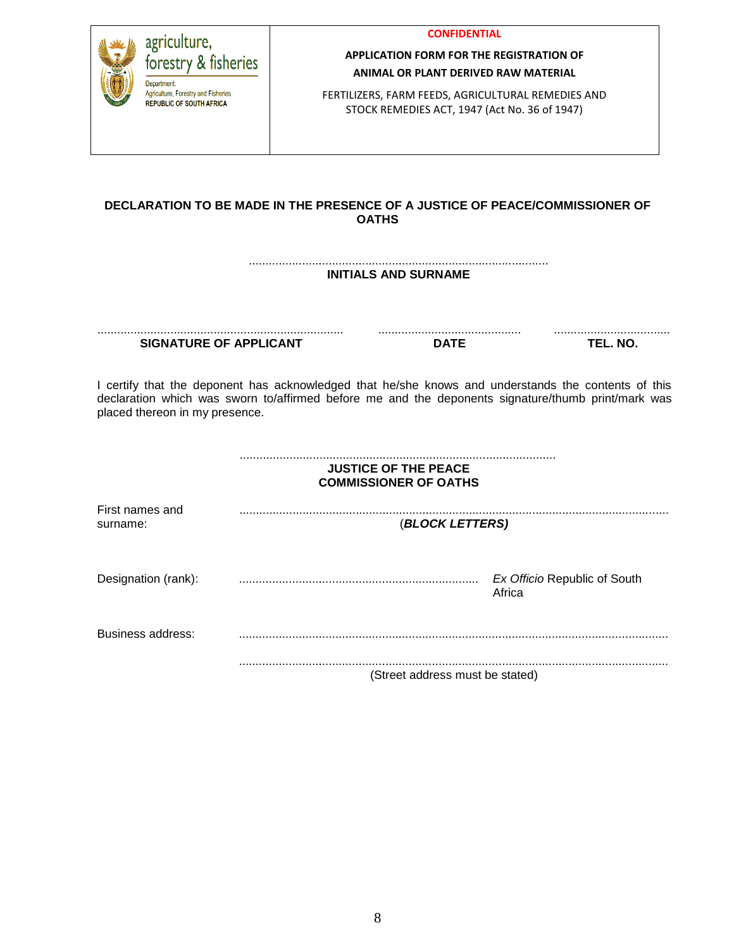|  |  |  | CONFIDENTIAL |
|--|--|--|--------------|
|  |  |  |              |
|  |  |  |              |
|  |  |  |              |

agriculture, forestry & fisheries Department Agriculture, Forestry and Fisheries **REPUBLIC OF SOUTH AFRICA** 

# **APPLICATION FORM FOR THE REGISTRATION OF ANIMAL OR PLANT DERIVED RAW MATERIAL**

FERTILIZERS, FARM FEEDS, AGRICULTURAL REMEDIES AND STOCK REMEDIES ACT, 1947 (Act No. 36 of 1947)

## **DECLARATION TO BE MADE IN THE PRESENCE OF A JUSTICE OF PEACE/COMMISSIONER OF OATHS**

#### .......................................................................................... **INITIALS AND SURNAME**

.......................................................................... **SIGNATURE OF APPLICANT**

........................................... **DATE**

................................... **TEL. NO.**

I certify that the deponent has acknowledged that he/she knows and understands the contents of this declaration which was sworn to/affirmed before me and the deponents signature/thumb print/mark was placed thereon in my presence.

|                             | <b>JUSTICE OF THE PEACE</b><br><b>COMMISSIONER OF OATHS</b> |                                        |
|-----------------------------|-------------------------------------------------------------|----------------------------------------|
| First names and<br>surname: | (BLOCK LETTERS)                                             |                                        |
| Designation (rank):         |                                                             | Ex Officio Republic of South<br>Africa |
| Business address:           |                                                             |                                        |
|                             | (Street address must be stated)                             |                                        |